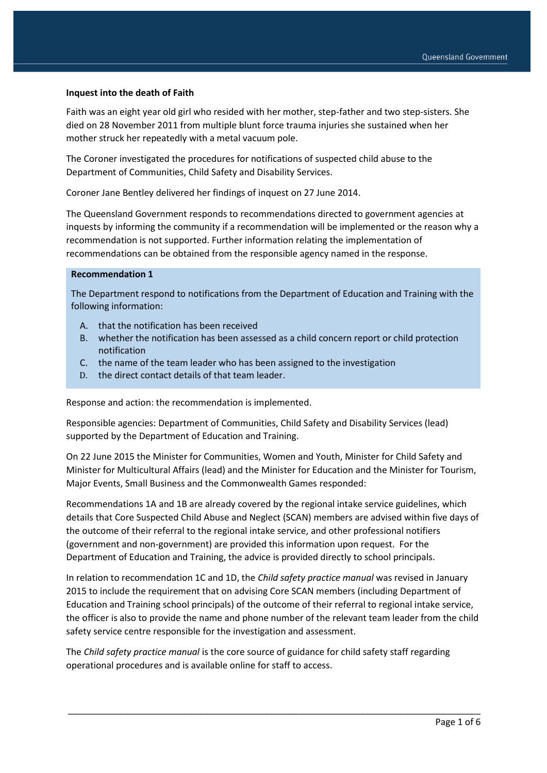## **Inquest into the death of Faith**

Faith was an eight year old girl who resided with her mother, step-father and two step-sisters. She died on 28 November 2011 from multiple blunt force trauma injuries she sustained when her mother struck her repeatedly with a metal vacuum pole.

The Coroner investigated the procedures for notifications of suspected child abuse to the Department of Communities, Child Safety and Disability Services.

Coroner Jane Bentley delivered her findings of inquest on 27 June 2014.

The Queensland Government responds to recommendations directed to government agencies at inquests by informing the community if a recommendation will be implemented or the reason why a recommendation is not supported. Further information relating the implementation of recommendations can be obtained from the responsible agency named in the response.

#### **Recommendation 1**

The Department respond to notifications from the Department of Education and Training with the following information:

- A. that the notification has been received
- B. whether the notification has been assessed as a child concern report or child protection notification
- C. the name of the team leader who has been assigned to the investigation
- D. the direct contact details of that team leader.

Response and action: the recommendation is implemented.

Responsible agencies: Department of Communities, Child Safety and Disability Services (lead) supported by the Department of Education and Training.

On 22 June 2015 the Minister for Communities, Women and Youth, Minister for Child Safety and Minister for Multicultural Affairs (lead) and the Minister for Education and the Minister for Tourism, Major Events, Small Business and the Commonwealth Games responded:

Recommendations 1A and 1B are already covered by the regional intake service guidelines, which details that Core Suspected Child Abuse and Neglect (SCAN) members are advised within five days of the outcome of their referral to the regional intake service, and other professional notifiers (government and non-government) are provided this information upon request. For the Department of Education and Training, the advice is provided directly to school principals.

In relation to recommendation 1C and 1D, the *Child safety practice manual* was revised in January 2015 to include the requirement that on advising Core SCAN members (including Department of Education and Training school principals) of the outcome of their referral to regional intake service, the officer is also to provide the name and phone number of the relevant team leader from the child safety service centre responsible for the investigation and assessment.

\_\_\_\_\_\_\_\_\_\_\_\_\_\_\_\_\_\_\_\_\_\_\_\_\_\_\_\_\_\_\_\_\_\_\_\_\_\_\_\_\_\_\_\_\_\_\_\_\_\_\_\_\_\_\_\_\_\_\_\_\_\_\_\_\_\_\_\_\_\_\_\_\_\_\_\_\_\_\_\_\_\_

The *Child safety practice manual* is the core source of guidance for child safety staff regarding operational procedures and is available online for staff to access.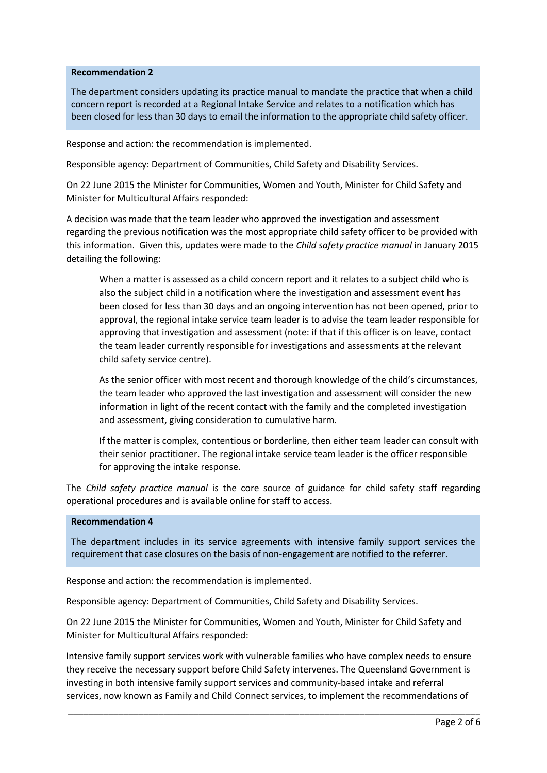## **Recommendation 2**

The department considers updating its practice manual to mandate the practice that when a child concern report is recorded at a Regional Intake Service and relates to a notification which has been closed for less than 30 days to email the information to the appropriate child safety officer.

Response and action: the recommendation is implemented.

Responsible agency: Department of Communities, Child Safety and Disability Services.

On 22 June 2015 the Minister for Communities, Women and Youth, Minister for Child Safety and Minister for Multicultural Affairs responded:

A decision was made that the team leader who approved the investigation and assessment regarding the previous notification was the most appropriate child safety officer to be provided with this information. Given this, updates were made to the *Child safety practice manual* in January 2015 detailing the following:

When a matter is assessed as a child concern report and it relates to a subject child who is also the subject child in a notification where the investigation and assessment event has been closed for less than 30 days and an ongoing intervention has not been opened, prior to approval, the regional intake service team leader is to advise the team leader responsible for approving that investigation and assessment (note: if that if this officer is on leave, contact the team leader currently responsible for investigations and assessments at the relevant child safety service centre).

As the senior officer with most recent and thorough knowledge of the child's circumstances, the team leader who approved the last investigation and assessment will consider the new information in light of the recent contact with the family and the completed investigation and assessment, giving consideration to cumulative harm.

If the matter is complex, contentious or borderline, then either team leader can consult with their senior practitioner. The regional intake service team leader is the officer responsible for approving the intake response.

The *Child safety practice manual* is the core source of guidance for child safety staff regarding operational procedures and is available online for staff to access.

#### **Recommendation 4**

The department includes in its service agreements with intensive family support services the requirement that case closures on the basis of non-engagement are notified to the referrer.

Response and action: the recommendation is implemented.

Responsible agency: Department of Communities, Child Safety and Disability Services.

On 22 June 2015 the Minister for Communities, Women and Youth, Minister for Child Safety and Minister for Multicultural Affairs responded:

Intensive family support services work with vulnerable families who have complex needs to ensure they receive the necessary support before Child Safety intervenes. The Queensland Government is investing in both intensive family support services and community-based intake and referral services, now known as Family and Child Connect services, to implement the recommendations of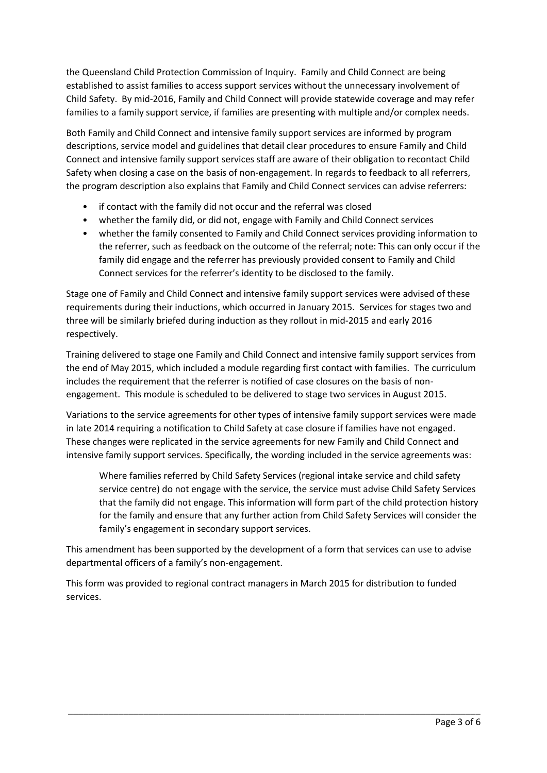the Queensland Child Protection Commission of Inquiry. Family and Child Connect are being established to assist families to access support services without the unnecessary involvement of Child Safety. By mid-2016, Family and Child Connect will provide statewide coverage and may refer families to a family support service, if families are presenting with multiple and/or complex needs.

Both Family and Child Connect and intensive family support services are informed by program descriptions, service model and guidelines that detail clear procedures to ensure Family and Child Connect and intensive family support services staff are aware of their obligation to recontact Child Safety when closing a case on the basis of non-engagement. In regards to feedback to all referrers, the program description also explains that Family and Child Connect services can advise referrers:

- if contact with the family did not occur and the referral was closed
- whether the family did, or did not, engage with Family and Child Connect services
- whether the family consented to Family and Child Connect services providing information to the referrer, such as feedback on the outcome of the referral; note: This can only occur if the family did engage and the referrer has previously provided consent to Family and Child Connect services for the referrer's identity to be disclosed to the family.

Stage one of Family and Child Connect and intensive family support services were advised of these requirements during their inductions, which occurred in January 2015. Services for stages two and three will be similarly briefed during induction as they rollout in mid-2015 and early 2016 respectively.

Training delivered to stage one Family and Child Connect and intensive family support services from the end of May 2015, which included a module regarding first contact with families. The curriculum includes the requirement that the referrer is notified of case closures on the basis of nonengagement. This module is scheduled to be delivered to stage two services in August 2015.

Variations to the service agreements for other types of intensive family support services were made in late 2014 requiring a notification to Child Safety at case closure if families have not engaged. These changes were replicated in the service agreements for new Family and Child Connect and intensive family support services. Specifically, the wording included in the service agreements was:

Where families referred by Child Safety Services (regional intake service and child safety service centre) do not engage with the service, the service must advise Child Safety Services that the family did not engage. This information will form part of the child protection history for the family and ensure that any further action from Child Safety Services will consider the family's engagement in secondary support services.

This amendment has been supported by the development of a form that services can use to advise departmental officers of a family's non-engagement.

\_\_\_\_\_\_\_\_\_\_\_\_\_\_\_\_\_\_\_\_\_\_\_\_\_\_\_\_\_\_\_\_\_\_\_\_\_\_\_\_\_\_\_\_\_\_\_\_\_\_\_\_\_\_\_\_\_\_\_\_\_\_\_\_\_\_\_\_\_\_\_\_\_\_\_\_\_\_\_\_\_\_

This form was provided to regional contract managers in March 2015 for distribution to funded services.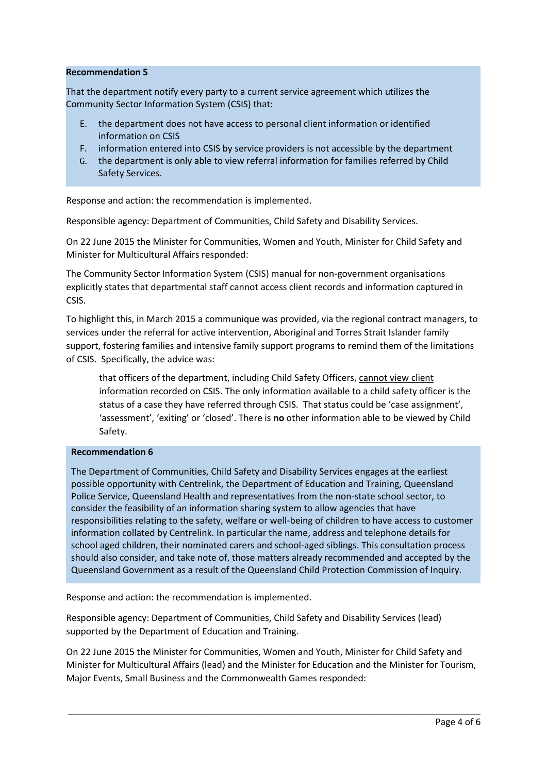# **Recommendation 5**

That the department notify every party to a current service agreement which utilizes the Community Sector Information System (CSIS) that:

- E. the department does not have access to personal client information or identified information on CSIS
- F. information entered into CSIS by service providers is not accessible by the department
- G. the department is only able to view referral information for families referred by Child Safety Services.

Response and action: the recommendation is implemented.

Responsible agency: Department of Communities, Child Safety and Disability Services.

On 22 June 2015 the Minister for Communities, Women and Youth, Minister for Child Safety and Minister for Multicultural Affairs responded:

The Community Sector Information System (CSIS) manual for non-government organisations explicitly states that departmental staff cannot access client records and information captured in CSIS.

To highlight this, in March 2015 a communique was provided, via the regional contract managers, to services under the referral for active intervention, Aboriginal and Torres Strait Islander family support, fostering families and intensive family support programs to remind them of the limitations of CSIS. Specifically, the advice was:

that officers of the department, including Child Safety Officers, cannot view client information recorded on CSIS. The only information available to a child safety officer is the status of a case they have referred through CSIS. That status could be 'case assignment', 'assessment', 'exiting' or 'closed'. There is **no** other information able to be viewed by Child Safety.

# **Recommendation 6**

The Department of Communities, Child Safety and Disability Services engages at the earliest possible opportunity with Centrelink, the Department of Education and Training, Queensland Police Service, Queensland Health and representatives from the non-state school sector, to consider the feasibility of an information sharing system to allow agencies that have responsibilities relating to the safety, welfare or well-being of children to have access to customer information collated by Centrelink. In particular the name, address and telephone details for school aged children, their nominated carers and school-aged siblings. This consultation process should also consider, and take note of, those matters already recommended and accepted by the Queensland Government as a result of the Queensland Child Protection Commission of Inquiry.

Response and action: the recommendation is implemented.

Responsible agency: Department of Communities, Child Safety and Disability Services (lead) supported by the Department of Education and Training.

On 22 June 2015 the Minister for Communities, Women and Youth, Minister for Child Safety and Minister for Multicultural Affairs (lead) and the Minister for Education and the Minister for Tourism, Major Events, Small Business and the Commonwealth Games responded: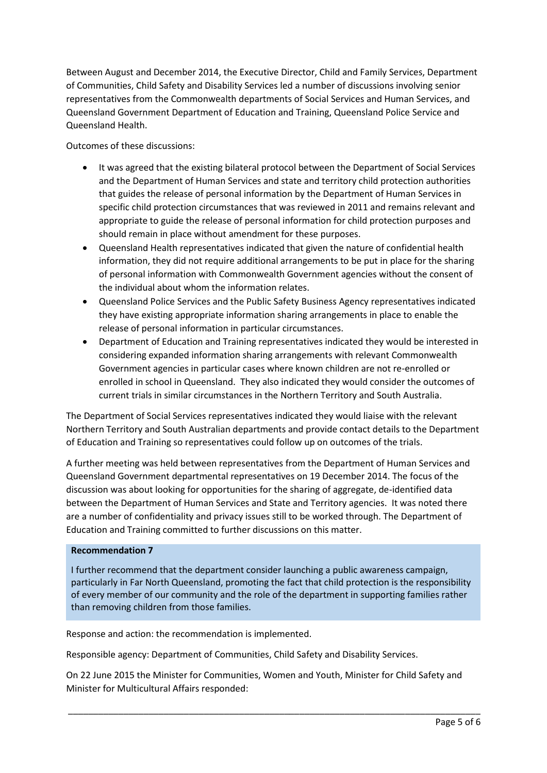Between August and December 2014, the Executive Director, Child and Family Services, Department of Communities, Child Safety and Disability Services led a number of discussions involving senior representatives from the Commonwealth departments of Social Services and Human Services, and Queensland Government Department of Education and Training, Queensland Police Service and Queensland Health.

Outcomes of these discussions:

- It was agreed that the existing bilateral protocol between the Department of Social Services and the Department of Human Services and state and territory child protection authorities that guides the release of personal information by the Department of Human Services in specific child protection circumstances that was reviewed in 2011 and remains relevant and appropriate to guide the release of personal information for child protection purposes and should remain in place without amendment for these purposes.
- Queensland Health representatives indicated that given the nature of confidential health information, they did not require additional arrangements to be put in place for the sharing of personal information with Commonwealth Government agencies without the consent of the individual about whom the information relates.
- Queensland Police Services and the Public Safety Business Agency representatives indicated they have existing appropriate information sharing arrangements in place to enable the release of personal information in particular circumstances.
- Department of Education and Training representatives indicated they would be interested in considering expanded information sharing arrangements with relevant Commonwealth Government agencies in particular cases where known children are not re-enrolled or enrolled in school in Queensland. They also indicated they would consider the outcomes of current trials in similar circumstances in the Northern Territory and South Australia.

The Department of Social Services representatives indicated they would liaise with the relevant Northern Territory and South Australian departments and provide contact details to the Department of Education and Training so representatives could follow up on outcomes of the trials.

A further meeting was held between representatives from the Department of Human Services and Queensland Government departmental representatives on 19 December 2014. The focus of the discussion was about looking for opportunities for the sharing of aggregate, de-identified data between the Department of Human Services and State and Territory agencies. It was noted there are a number of confidentiality and privacy issues still to be worked through. The Department of Education and Training committed to further discussions on this matter.

# **Recommendation 7**

I further recommend that the department consider launching a public awareness campaign, particularly in Far North Queensland, promoting the fact that child protection is the responsibility of every member of our community and the role of the department in supporting families rather than removing children from those families.

Response and action: the recommendation is implemented.

Responsible agency: Department of Communities, Child Safety and Disability Services.

On 22 June 2015 the Minister for Communities, Women and Youth, Minister for Child Safety and Minister for Multicultural Affairs responded: